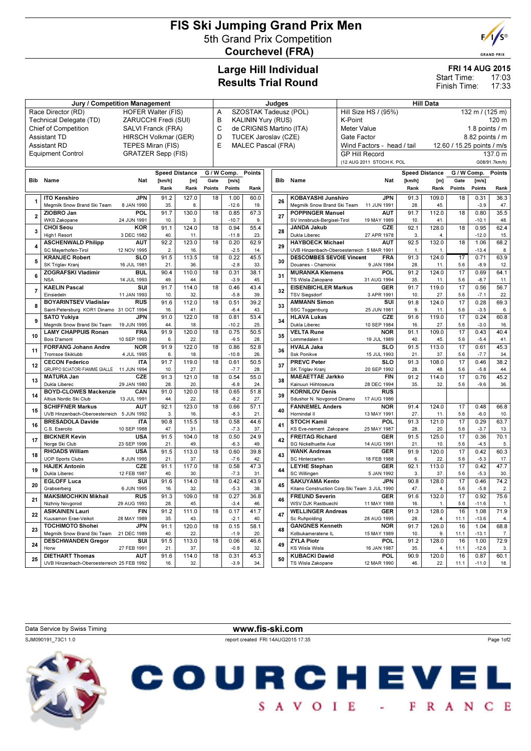# FIS Ski Jumping Grand Prix Men 5th Grand Prix Competition Courchevel (FRA)



**GRAND PRIX** 

### Large Hill Individual Results Trial Round

#### FRI 14 AUG 2015

17:03 17:33 Start Time: Finish Time:

|                                                 | <b>Jury / Competition Management</b>                               |                           | Judges                |              |                                  |                                |               | <b>Hill Data</b> |                           |                                              |                                              |                           |              |                            |                 |                |             |
|-------------------------------------------------|--------------------------------------------------------------------|---------------------------|-----------------------|--------------|----------------------------------|--------------------------------|---------------|------------------|---------------------------|----------------------------------------------|----------------------------------------------|---------------------------|--------------|----------------------------|-----------------|----------------|-------------|
| Race Director (RD)<br><b>HOFER Walter (FIS)</b> |                                                                    |                           |                       |              |                                  | SZOSTAK Tadeusz (POL)<br>A     |               |                  |                           |                                              | Hill Size HS / (95%)<br>132 m / (125 m)      |                           |              |                            |                 |                |             |
| ZARUCCHI Fredi (SUI)<br>Technical Delegate (TD) |                                                                    |                           |                       |              |                                  | B<br><b>KALININ Yury (RUS)</b> |               |                  |                           |                                              | K-Point<br>120 m                             |                           |              |                            |                 |                |             |
| <b>Chief of Competition</b>                     |                                                                    |                           | SALVI Franck (FRA)    |              |                                  | C<br>de CRIGNIS Martino (ITA)  |               |                  |                           |                                              | <b>Meter Value</b><br>1.8 points $\sqrt{}$ m |                           |              |                            |                 |                |             |
| <b>Assistant TD</b><br>HIRSCH Volkmar (GER)     |                                                                    |                           |                       |              | D<br><b>TUCEK Jaroslav (CZE)</b> |                                |               |                  |                           | 8.82 points / m<br>Gate Factor               |                                              |                           |              |                            |                 |                |             |
| <b>Assistant RD</b><br>TEPES Miran (FIS)        |                                                                    |                           |                       |              | E<br><b>MALEC Pascal (FRA)</b>   |                                |               |                  |                           |                                              | Wind Factors - head / tail                   |                           |              | 12.60 / 15.25 points / m/s |                 |                |             |
|                                                 |                                                                    |                           |                       |              |                                  |                                |               |                  |                           |                                              |                                              |                           |              |                            |                 |                |             |
|                                                 | <b>Equipment Control</b>                                           | <b>GRATZER Sepp (FIS)</b> |                       |              |                                  |                                |               |                  |                           |                                              |                                              | <b>GP Hill Record</b>     |              |                            |                 |                | 137.0 m     |
|                                                 |                                                                    |                           |                       |              |                                  |                                |               |                  | (12 AUG 2011 STOCH K. POL |                                              |                                              |                           |              | G08/91.7km/h)              |                 |                |             |
|                                                 |                                                                    |                           | <b>Speed Distance</b> |              |                                  | G / W Comp.                    | <b>Points</b> |                  |                           |                                              |                                              |                           |              | <b>Speed Distance</b>      | G / W Comp.     |                | Points      |
|                                                 | <b>Bib</b> Name                                                    | Nat                       | [km/h]                | [m]          | Gate                             | [m/s]                          |               |                  | Bib                       | Name                                         |                                              | Nat                       | [km/h]       | [m]                        | Gate            | [m/s]          |             |
|                                                 |                                                                    |                           | Rank                  | Rank         | Points                           | Points                         | Rank          |                  |                           |                                              |                                              |                           | Rank         | Rank                       | Points          | Points         | Rank        |
|                                                 | <b>ITO Kenshiro</b>                                                | <b>JPN</b>                | 91.2                  | 127.0        | 18                               | 1.00                           | 60.0          |                  |                           | <b>KOBAYASHI Junshiro</b>                    |                                              | <b>JPN</b>                | 91.3         | 109.0                      | 18              | 0.31           | 36.3        |
| 1                                               | Megmilk Snow Brand Ski Team                                        | 8 JAN 1990                | 35.                   | 8.           |                                  | $-12.6$                        | 19.           |                  | 26                        | Megmilk Snow Brand Ski Team                  |                                              | 11 JUN 1991               | 28.          | 45.                        |                 | $-3.9$         | 47.         |
|                                                 | ZIOBRO Jan                                                         | POL                       | 91.7                  | 130.0        | 18                               | 0.85                           | 67.3          |                  |                           | <b>POPPINGER Manuel</b>                      |                                              | <b>AUT</b>                | 91.7         | 112.0                      | 18              | 0.80           | 35.5        |
| $\overline{\mathbf{2}}$                         | <b>WKS Zakopane</b>                                                | 24 JUN 1991               | 10.                   | 3.           |                                  | $-10.7$                        | 9.            |                  | 27                        | SV Innsbruck-Bergisel-Tirol                  |                                              | 19 MAY 1989               | 10.          | 41.                        |                 | $-10.1$        | 48.         |
|                                                 | <b>CHOI Seou</b>                                                   | <b>KOR</b>                | 91.1                  | 124.0        | 18                               | 0.94                           | 55.4          |                  |                           | <b>JANDA Jakub</b>                           |                                              | CZE                       | 92.1         | 128.0                      | 18              | 0.95           | 62.4        |
| 3                                               | High1 Resort                                                       | 3 DEC 1982                | 40.                   | 11.          |                                  | $-11.8$                        | 23.           |                  | 28                        | Dukla Liberec                                |                                              | 27 APR 1978               | 3.           | 4.                         |                 | $-12.0$        | 15.         |
|                                                 | <b>ASCHENWALD Philipp</b>                                          | AUT                       | 92.2                  | 123.0        | 18                               | 0.20                           | 62.9          |                  |                           | <b>HAYBOECK Michael</b>                      |                                              | <b>AUT</b>                | 92.5         | 132.0                      | 18              | 1.06           | 68.2        |
| 4                                               | SC Mayerhofen-Tirol                                                | 12 NOV 1995               | 2.                    | 16.          |                                  | $-2.5$                         | 14.           |                  | 29                        | UVB Hinzenbach-Oberoesterreich 5 MAR 1991    |                                              |                           | $\mathbf{1}$ | $\mathbf{1}$               |                 | $-13.4$        | 8           |
|                                                 | <b>KRANJEC Robert</b>                                              | <b>SLO</b>                | 91.5                  | 113.5        | 18                               | 0.22                           | 45.5          |                  |                           | <b>DESCOMBES SEVOIE Vincent</b>              |                                              | <b>FRA</b>                | 91.3         | 124.0                      | 17              | 0.71           | 63.9        |
| 5                                               | SK Triglav Kranj                                                   | 16 JUL 1981               | 21.                   | 36.          |                                  | $-2.8$                         | 33.           |                  | 30                        | Douanes - Chamonix                           |                                              | 9 JAN 1984                | 28.          | 11.                        | 5.6             | $-8.9$         | 12.         |
| 6                                               | <b>ZOGRAFSKI Vladimir</b>                                          | <b>BUL</b>                | 90.4                  | 110.0        | 18                               | 0.31                           | 38.1          |                  | 31                        | <b>MURANKA Klemens</b>                       |                                              | POL                       | 91.2         | 124.0                      | 17              | 0.69           | 64.1        |
|                                                 | <b>NSA</b>                                                         | 14 JUL 1993               | 49.                   | 44.          |                                  | $-3.9$                         | 45.           |                  |                           | TS Wisla Zakopane                            |                                              | 31 AUG 1994               | 35.          | 11.                        | 5.6             | $-8.7$         | 11.         |
| $\overline{7}$                                  | <b>KAELIN Pascal</b>                                               | SUI                       | 91.7                  | 114.0        | 18                               | 0.46                           | 43.4          |                  | 32                        | <b>EISENBICHLER Markus</b>                   |                                              | <b>GER</b>                | 91.7         | 119.0                      | $\overline{17}$ | 0.56           | 56.7        |
|                                                 | Einsiedeln                                                         | 11 JAN 1993               | 10.                   | 32.          |                                  | $-5.8$                         | 39.           |                  |                           | <b>TSV Siegsdorf</b>                         |                                              | 3 APR 1991                | 10.          | 27.                        | 5.6             | $-7.1$         | 22.         |
| 8                                               | <b>BOYARINTSEV Vladislav</b>                                       | <b>RUS</b>                | 91.6                  | 112.0        | 18                               | 0.51                           | 39.2          |                  | 33                        | <b>AMMANN Simon</b>                          |                                              | SUI                       | 91.8         | 124.0                      | 17              | 0.28           | 69.3        |
|                                                 | Saint-Petersburg KOR1 Dinamo 31 OCT 1994                           |                           | 16.                   | 41.          |                                  | $-6.4$                         | 43.           |                  |                           | SSC Toggenburg                               |                                              | 25 JUN 1981               | 9.           | 11.                        | 5.6             | $-3.5$         | 6.          |
| 9                                               | <b>SATO Yukiya</b>                                                 | <b>JPN</b>                | 91.0                  | 122.0        | 18                               | 0.81                           | 53.4          |                  | 34                        | <b>HLAVA Lukas</b>                           |                                              | CZE                       | 91.6         | 119.0                      | 17              | 0.24           | 60.8        |
|                                                 | Megmilk Snow Brand Ski Team                                        | 19 JUN 1995               | 44.                   | 18.          |                                  | $-10.2$                        | 25.           |                  |                           | Dukla Liberec                                |                                              | 10 SEP 1984               | 16.          | 27.                        | 5.6             | $-3.0$         | 16.         |
| 10                                              | <b>LAMY CHAPPUIS Ronan</b>                                         | <b>FRA</b>                | 91.9                  | 120.0        | 18                               | 0.75                           | 50.5          |                  | 35                        | <b>VELTA Rune</b>                            |                                              | <b>NOR</b>                | 91.1         | 109.0                      | $\overline{17}$ | 0.43           | 40.4        |
|                                                 | Bois D'amont                                                       | 10 SEP 1993               | 6.                    | 22.          |                                  | $-9.5$                         | 28.           |                  |                           | Lommedalen II                                |                                              | 19 JUL 1989               | 40.          | 45.                        | 5.6             | $-5.4$         | 41.         |
| 11                                              | <b>FORFANG Johann Andre</b>                                        | <b>NOR</b>                | 91.9                  | 122.0        | 18                               | 0.86                           | 52.8          |                  | 36                        | <b>HVALA Jaka</b><br>Ssk Ponikve             |                                              | <b>SLO</b>                | 91.5         | 113.0                      | 17              | 0.61           | 45.3        |
|                                                 | Tromsoe Skiklubb                                                   | 4 JUL 1995                | 6.<br>91.7            | 18.<br>119.0 |                                  | $-10.8$                        | 26            |                  |                           |                                              |                                              | 15 JUL 1993               | 21.          | 37.                        | 5.6<br>17       | $-7.7$         | 34.         |
| 12                                              | <b>CECON Federico</b><br>GRUPPO SCIATORI FIAMME GIALLE 11 JUN 1994 | <b>ITA</b>                | 10.                   | 27.          | 18                               | 0.61<br>$-7.7$                 | 50.5<br>28.   |                  | 37                        | <b>PREVC Peter</b>                           |                                              | <b>SLO</b><br>20 SEP 1992 | 91.3<br>28.  | 108.0<br>48.               | 5.6             | 0.46<br>$-5.8$ | 38.2<br>44. |
|                                                 | <b>MATURA Jan</b>                                                  | <b>CZE</b>                | 91.3                  | 121.0        | 18                               | 0.54                           | 55.0          |                  |                           | SK Triglav Kranj<br><b>MAEAETTAE Jarkko</b>  |                                              | <b>FIN</b>                | 91.2         | 114.0                      | 17              | 0.76           | 45.2        |
| 13                                              | Dukla Liberec                                                      | 29 JAN 1980               | 28.                   | 20.          |                                  | $-6.8$                         | 24.           |                  | 38                        | Kainuun Hiihtoseura                          |                                              | 28 DEC 1994               | 35.          | 32.                        | 5.6             | $-9.6$         | 36.         |
|                                                 | <b>BOYD-CLOWES Mackenzie</b>                                       | CAN                       | 91.0                  | 120.0        | 18                               | 0.65                           | 51.8          |                  |                           | <b>KORNILOV Denis</b>                        |                                              | <b>RUS</b>                |              |                            |                 |                |             |
| 14                                              | Altius Nordic Ski Club                                             | 13 JUL 1991               | 44.                   | 22.          |                                  | $-8.2$                         | 27.           |                  | 39                        | Sdushor N. Novgorod Dinamo                   |                                              | 17 AUG 1986               |              |                            |                 |                |             |
|                                                 | <b>SCHIFFNER Markus</b>                                            | <b>AUT</b>                | 92.1                  | 123.0        | 18                               | 0.66                           | 57.1          |                  |                           | <b>FANNEMEL Anders</b>                       |                                              | <b>NOR</b>                | 91.4         | 124.0                      | 17              | 0.48           | 66.8        |
| 15                                              | UVB Hinzenbach-Oberoesterreich 5 JUN 1992                          |                           | 3.                    | 16.          |                                  | $-8.3$                         | 21.           |                  | 40                        | Hornindal II                                 |                                              | 13 MAY 1991               | 27.          | 11.                        | 5.6             | $-6.0$         | 10.         |
|                                                 | <b>BRESADOLA Davide</b>                                            | <b>ITA</b>                | 90.8                  | 115.5        | 18                               | 0.58                           | 44.6          |                  |                           | <b>STOCH Kamil</b>                           |                                              | <b>POL</b>                | 91.3         | 121.0                      | 17              | 0.29           | 63.7        |
| 16                                              | C.S. Esercito                                                      | 10 SEP 1988               | 47.                   | 31.          |                                  | $-7.3$                         | 37.           |                  | 41                        | KS Eve-nement Zakopane                       |                                              | 25 MAY 1987               | 28.          | 20.                        | 5.6             | $-3.7$         | 13.         |
|                                                 | <b>BICKNER Kevin</b>                                               | <b>USA</b>                | 91.5                  | 104.0        | 18                               | 0.50                           | 24.9          |                  |                           | <b>FREITAG Richard</b>                       |                                              | <b>GER</b>                | 91.5         | 125.0                      | 17              | 0.36           | 70.1        |
| 17                                              | Norge Ski Club                                                     | 23 SEP 1996               | 21.                   | 49.          |                                  | $-6.3$                         | 49.           |                  | 42                        | SG Nickelhuette Aue                          |                                              | 14 AUG 1991               | 21.          | 10.                        | 5.6             | $-4.5$         | 5.          |
|                                                 | <b>RHOADS William</b>                                              | <b>USA</b>                | 91.5                  | 113.0        | 18                               | 0.60                           | 39.8          |                  |                           | <b>WANK Andreas</b>                          |                                              | <b>GER</b>                | 91.9         | 120.0                      | 17              | 0.42           | 60.3        |
| 18                                              | <b>UOP Sports Clubs</b>                                            | 8 JUN 1995                | 21.                   | 37.          |                                  | $-7.6$                         | 42.           |                  | 43                        | SC Hinterzarten                              |                                              | 18 FEB 1988               | 6.           | 22.                        | 5.6             | $-5.3$         | 17.         |
| 19                                              | <b>HAJEK Antonin</b>                                               | <b>CZE</b>                | 91.1                  | 117.0        | 18                               | 0.58                           | 47.3          |                  | 44                        | <b>LEYHE Stephan</b>                         |                                              | <b>GER</b>                | 92.1         | 113.0                      | 17              | 0.42           | 47.7        |
|                                                 | Dukla Liberec                                                      | 12 FEB 1987               | 40.                   | 30.          |                                  | $-7.3$                         | 31.           |                  |                           | SC Willingen                                 |                                              | 5 JAN 1992                | 3.           | 37.                        | 5.6             | $-5.3$         | 30.         |
| 20                                              | <b>EGLOFF Luca</b>                                                 | SUI                       | 91.6                  | 114.0        | 18                               | 0.42                           | 43.9          |                  | 45                        | <b>SAKUYAMA Kento</b>                        |                                              | <b>JPN</b>                | 90.8         | 128.0                      | $\overline{17}$ | 0.46           | 74.2        |
|                                                 | Grabserberg                                                        | 6 JUN 1995                | 16.                   | 32.          |                                  | $-5.3$                         | 38.           |                  |                           | Kitano Construction Corp.Ski Team 3 JUL 1990 |                                              |                           | 47.          | 4.                         | 5.6             | $-5.8$         | 2.          |
| 21                                              | <b>MAKSIMOCHKIN Mikhail</b>                                        | <b>RUS</b>                | 91.3                  | 109.0        | 18                               | 0.27                           | 36.8          |                  | 46                        | <b>FREUND Severin</b>                        |                                              | <b>GER</b>                | 91.6         | 132.0                      | 17              | 0.92           | 75.6        |
|                                                 | Nizhniy Novgorod                                                   | 29 AUG 1993               | 28.                   | 45.          |                                  | $-3.4$                         | 46.           |                  |                           | WSV DJK Rastbuechl                           |                                              | 11 MAY 1988               | 16.          | $\mathbf{1}$               | 5.6             | $-11.6$        | $\mathbf 1$ |
| 22                                              | <b>ASIKAINEN Lauri</b>                                             | <b>FIN</b>                | 91.2                  | 111.0        | 18                               | 0.17                           | 41.7          |                  | 47                        | <b>WELLINGER Andreas</b>                     |                                              | GER                       | 91.3         | 128.0                      | 16              | 1.08           | 71.9        |
|                                                 | Kuusamon Erae-Veikot                                               | 28 MAY 1989               | 35.                   | 43.          |                                  | $-2.1$                         | 40.           |                  |                           | Sc Ruhpolding                                |                                              | 28 AUG 1995               | 28.          | 4.                         | 11.1            | $-13.6$        | 4.          |
| 23                                              | <b>TOCHIMOTO Shohei</b>                                            | <b>JPN</b>                | 91.1                  | 120.0        | 18                               | 0.15                           | 58.1          |                  | 48                        | <b>GANGNES Kenneth</b>                       |                                              | <b>NOR</b>                | 91.7         | 126.0                      | 16              | 1.04           | 68.8        |
|                                                 | Megmilk Snow Brand Ski Team                                        | 21 DEC 1989               | 40.                   | 22.          |                                  | $-1.9$                         | 20.           |                  |                           | Kolbukameratene IL                           |                                              | 15 MAY 1989               | 10.          | 9.                         | 11.1            | $-13.1$        | 7.          |
| 24                                              | <b>DESCHWANDEN Gregor</b>                                          | SUI                       | 91.5                  | 113.0        | 18                               | 0.06                           | 46.6          |                  | 49                        | <b>ZYLA Piotr</b>                            |                                              | <b>POL</b>                | 91.2         | 128.0                      | 16              | 1.00           | 72.9        |
|                                                 | Horw                                                               | 27 FEB 1991               | 21.                   | 37.          |                                  | $-0.8$                         | 32.           |                  |                           | KS Wisla Wisla                               |                                              | 16 JAN 1987               | 35.          | 4.                         | 11.1            | $-12.6$        | 3.          |
| 25                                              | <b>DIETHART Thomas</b>                                             | AUT                       | 91.6                  | 114.0        | 18                               | 0.31                           | 45.3          |                  | 50                        | <b>KUBACKI Dawid</b><br>TS Wisla Zakopane    |                                              | <b>POL</b><br>12 MAR 1990 | 90.9         | 120.0                      | 16              | 0.87           | 60.1        |
|                                                 | UVB Hinzenbach-Oberoesterreich 25 FEB 1992                         |                           | 16.                   | 32.          |                                  | $-3.9$                         | 34.           |                  |                           |                                              |                                              |                           | 46.          | 22.                        | 11.1            | $-11.0$        | 18.         |